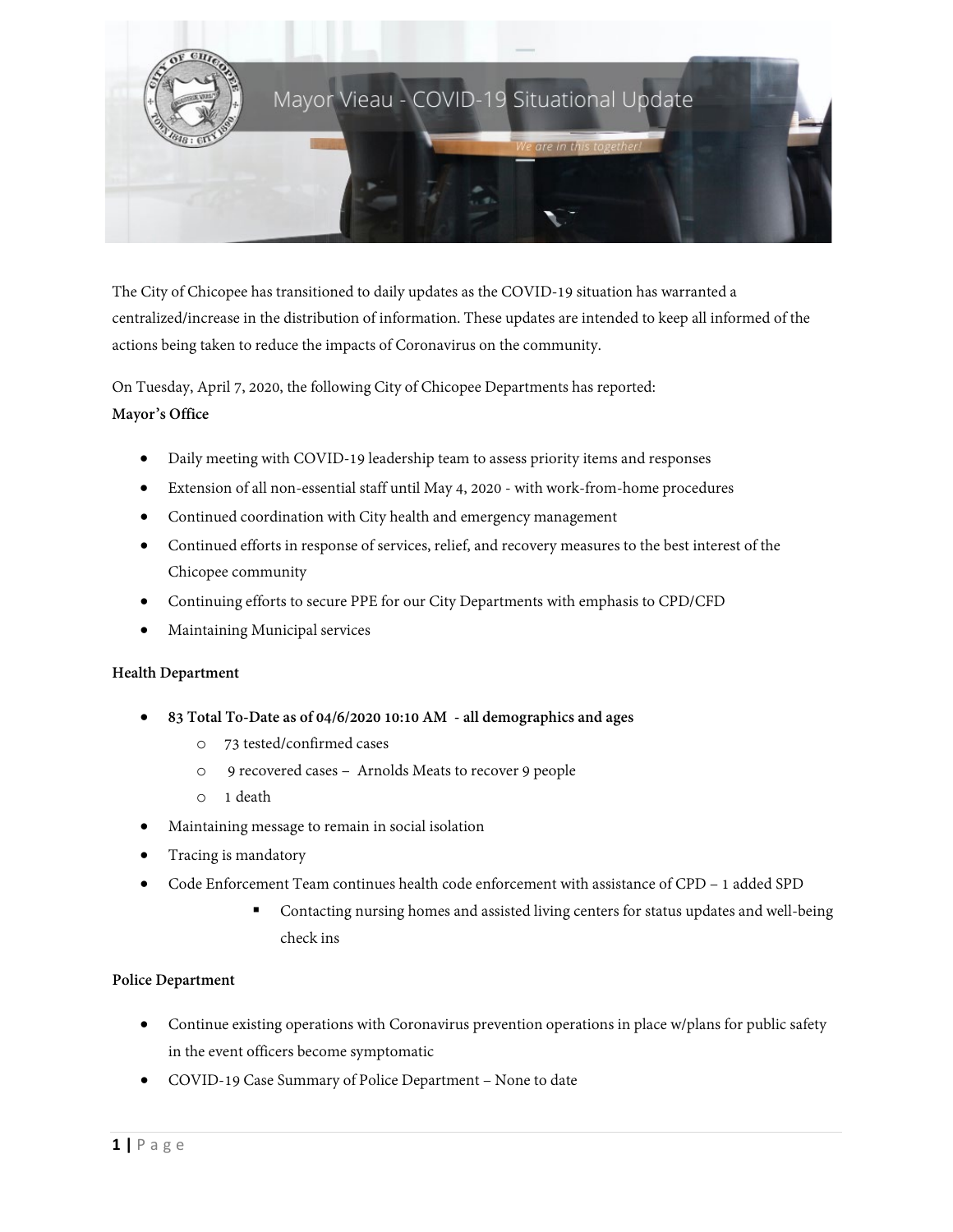

The City of Chicopee has transitioned to daily updates as the COVID-19 situation has warranted a centralized/increase in the distribution of information. These updates are intended to keep all informed of the actions being taken to reduce the impacts of Coronavirus on the community.

On Tuesday, April 7, 2020, the following City of Chicopee Departments has reported: **Mayor's Office**

- Daily meeting with COVID-19 leadership team to assess priority items and responses
- Extension of all non-essential staff until May 4, 2020 with work-from-home procedures
- Continued coordination with City health and emergency management
- Continued efforts in response of services, relief, and recovery measures to the best interest of the Chicopee community
- Continuing efforts to secure PPE for our City Departments with emphasis to CPD/CFD
- Maintaining Municipal services

# **Health Department**

- **83 Total To-Date as of 04/6/2020 10:10 AM - all demographics and ages**
	- o 73 tested/confirmed cases
	- o 9 recovered cases Arnolds Meats to recover 9 people
	- o 1 death
- Maintaining message to remain in social isolation
- Tracing is mandatory
- Code Enforcement Team continues health code enforcement with assistance of CPD 1 added SPD
	- Contacting nursing homes and assisted living centers for status updates and well-being check ins

### **Police Department**

- Continue existing operations with Coronavirus prevention operations in place w/plans for public safety in the event officers become symptomatic
- COVID-19 Case Summary of Police Department None to date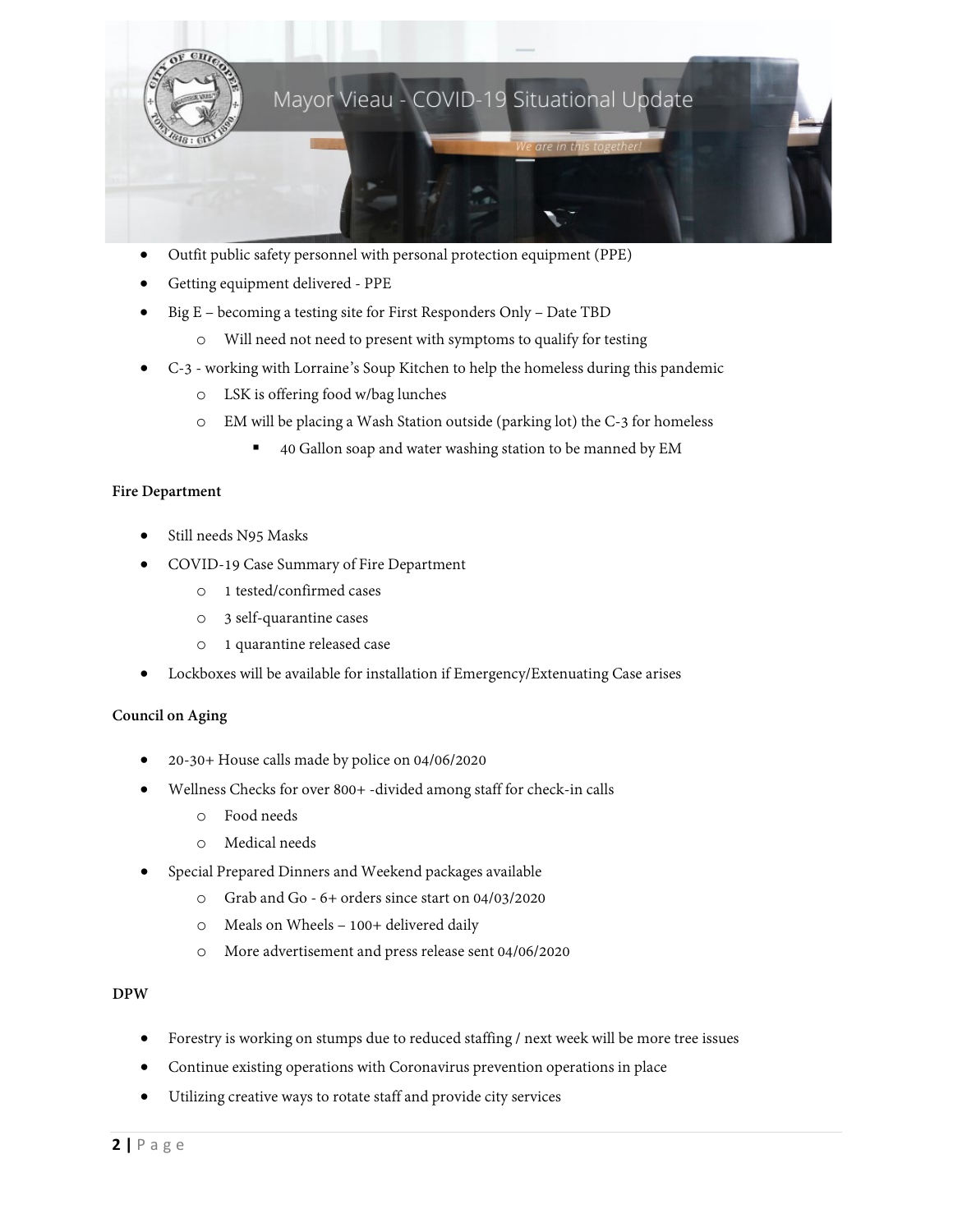

- Outfit public safety personnel with personal protection equipment (PPE)
- Getting equipment delivered PPE
- Big E becoming a testing site for First Responders Only Date TBD
	- o Will need not need to present with symptoms to qualify for testing
- C-3 working with Lorraine's Soup Kitchen to help the homeless during this pandemic
	- o LSK is offering food w/bag lunches
	- o EM will be placing a Wash Station outside (parking lot) the C-3 for homeless
		- 40 Gallon soap and water washing station to be manned by EM

#### **Fire Department**

- Still needs N95 Masks
- COVID-19 Case Summary of Fire Department
	- o 1 tested/confirmed cases
	- o 3 self-quarantine cases
	- o 1 quarantine released case
- Lockboxes will be available for installation if Emergency/Extenuating Case arises

### **Council on Aging**

- 20-30+ House calls made by police on 04/06/2020
- Wellness Checks for over 800+ -divided among staff for check-in calls
	- o Food needs
	- o Medical needs
- Special Prepared Dinners and Weekend packages available
	- o Grab and Go 6+ orders since start on 04/03/2020
	- o Meals on Wheels 100+ delivered daily
	- o More advertisement and press release sent 04/06/2020

## **DPW**

- Forestry is working on stumps due to reduced staffing / next week will be more tree issues
- Continue existing operations with Coronavirus prevention operations in place
- Utilizing creative ways to rotate staff and provide city services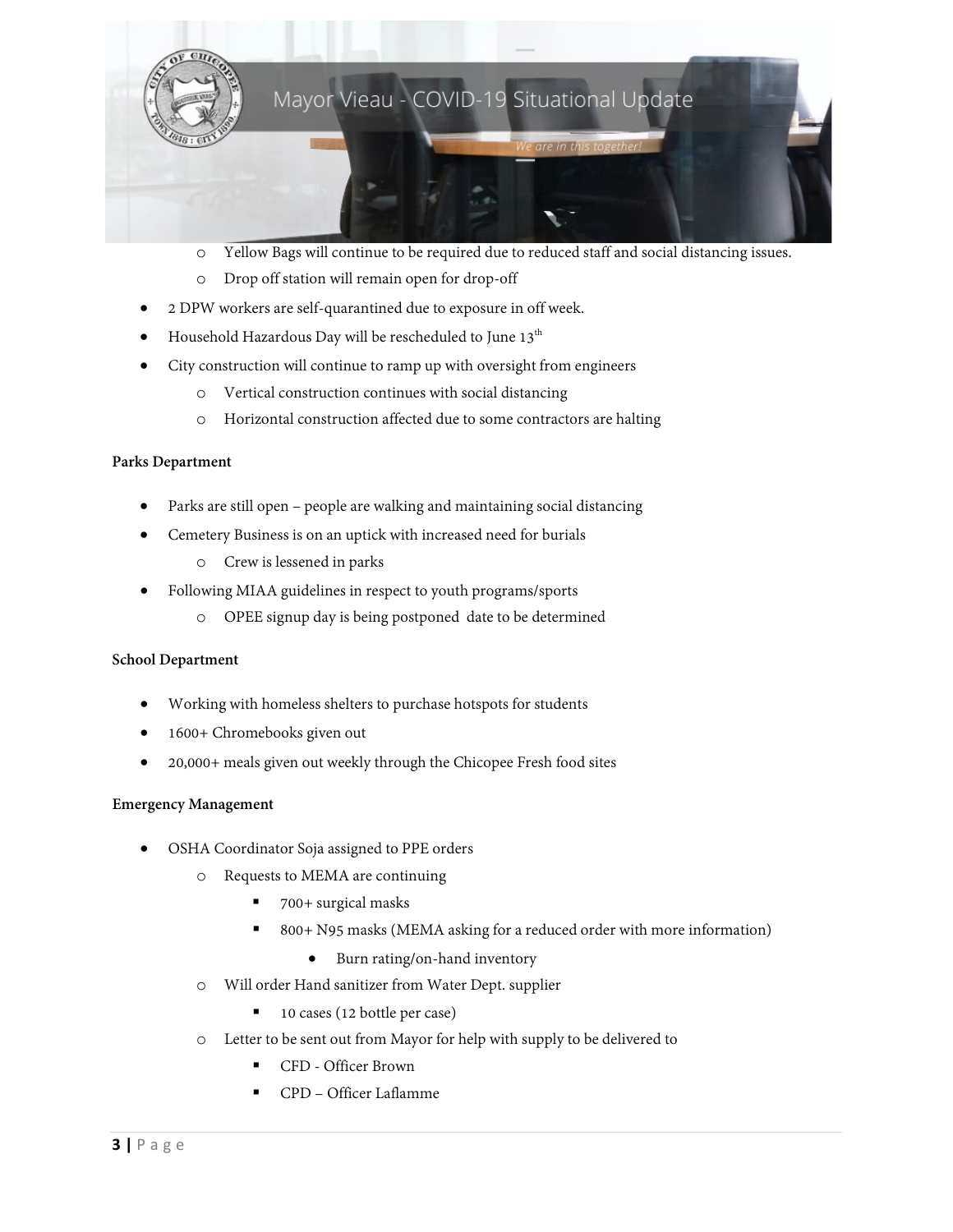

- o Yellow Bags will continue to be required due to reduced staff and social distancing issues.
- o Drop off station will remain open for drop-off
- 2 DPW workers are self-quarantined due to exposure in off week.
- Household Hazardous Day will be rescheduled to June 13<sup>th</sup>
- City construction will continue to ramp up with oversight from engineers
	- o Vertical construction continues with social distancing
	- o Horizontal construction affected due to some contractors are halting

### **Parks Department**

- Parks are still open people are walking and maintaining social distancing
- Cemetery Business is on an uptick with increased need for burials
	- o Crew is lessened in parks
- Following MIAA guidelines in respect to youth programs/sports
	- o OPEE signup day is being postponed date to be determined

### **School Department**

- Working with homeless shelters to purchase hotspots for students
- 1600+ Chromebooks given out
- 20,000+ meals given out weekly through the Chicopee Fresh food sites

### **Emergency Management**

- OSHA Coordinator Soja assigned to PPE orders
	- o Requests to MEMA are continuing
		- 700+ surgical masks
		- 800+ N95 masks (MEMA asking for a reduced order with more information)
			- Burn rating/on-hand inventory
	- o Will order Hand sanitizer from Water Dept. supplier
		- 10 cases (12 bottle per case)
	- o Letter to be sent out from Mayor for help with supply to be delivered to
		- CFD Officer Brown
		- CPD Officer Laflamme